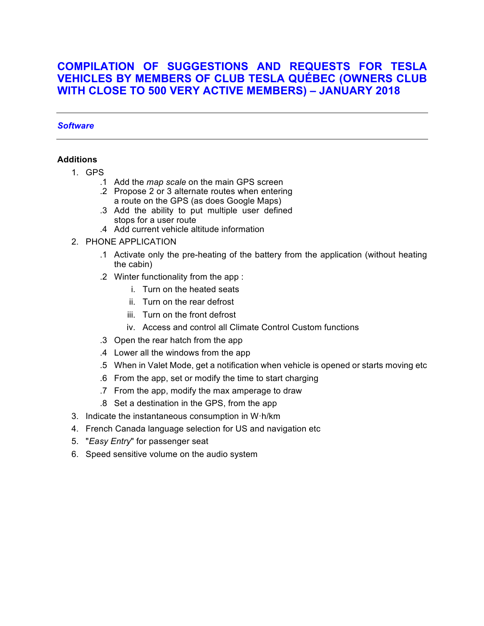# **COMPILATION OF SUGGESTIONS AND REQUESTS FOR TESLA VEHICLES BY MEMBERS OF CLUB TESLA QUÉBEC (OWNERS CLUB WITH CLOSE TO 500 VERY ACTIVE MEMBERS) – JANUARY 2018**

### *Software*

#### **Additions**

- 1. GPS
	- .1 Add the *map scale* on the main GPS screen
	- .2 Propose 2 or 3 alternate routes when entering a route on the GPS (as does Google Maps)
	- .3 Add the ability to put multiple user defined stops for a user route
	- .4 Add current vehicle altitude information

### 2. PHONE APPLICATION

- .1 Activate only the pre-heating of the battery from the application (without heating the cabin)
- .2 Winter functionality from the app :
	- i. Turn on the heated seats
	- ii. Turn on the rear defrost
	- iii. Turn on the front defrost
	- iv. Access and control all Climate Control Custom functions
- .3 Open the rear hatch from the app
- .4 Lower all the windows from the app
- .5 When in Valet Mode, get a notification when vehicle is opened or starts moving etc
- .6 From the app, set or modify the time to start charging
- .7 From the app, modify the max amperage to draw
- .8 Set a destination in the GPS, from the app
- 3. Indicate the instantaneous consumption in W·h/km
- 4. French Canada language selection for US and navigation etc
- 5. "*Easy Entry*" for passenger seat
- 6. Speed sensitive volume on the audio system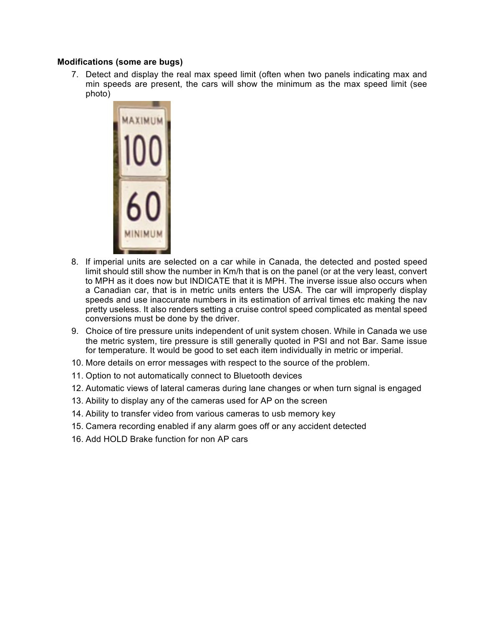#### **Modifications (some are bugs)**

7. Detect and display the real max speed limit (often when two panels indicating max and min speeds are present, the cars will show the minimum as the max speed limit (see photo)



- 8. If imperial units are selected on a car while in Canada, the detected and posted speed limit should still show the number in Km/h that is on the panel (or at the very least, convert to MPH as it does now but INDICATE that it is MPH. The inverse issue also occurs when a Canadian car, that is in metric units enters the USA. The car will improperly display speeds and use inaccurate numbers in its estimation of arrival times etc making the nav pretty useless. It also renders setting a cruise control speed complicated as mental speed conversions must be done by the driver.
- 9. Choice of tire pressure units independent of unit system chosen. While in Canada we use the metric system, tire pressure is still generally quoted in PSI and not Bar. Same issue for temperature. It would be good to set each item individually in metric or imperial.
- 10. More details on error messages with respect to the source of the problem.
- 11. Option to not automatically connect to Bluetooth devices
- 12. Automatic views of lateral cameras during lane changes or when turn signal is engaged
- 13. Ability to display any of the cameras used for AP on the screen
- 14. Ability to transfer video from various cameras to usb memory key
- 15. Camera recording enabled if any alarm goes off or any accident detected
- 16. Add HOLD Brake function for non AP cars